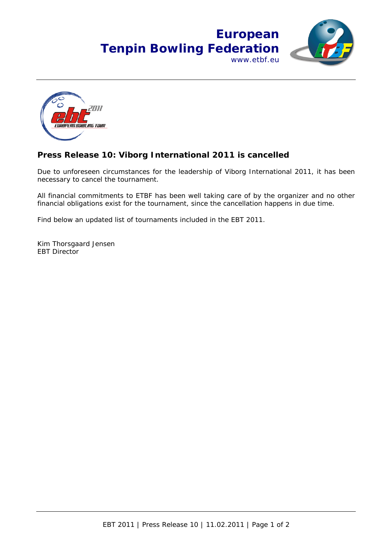



## **Press Release 10: Viborg International 2011 is cancelled**

Due to unforeseen circumstances for the leadership of Viborg International 2011, it has been necessary to cancel the tournament.

All financial commitments to ETBF has been well taking care of by the organizer and no other financial obligations exist for the tournament, since the cancellation happens in due time.

Find below an updated list of tournaments included in the EBT 2011.

Kim Thorsgaard Jensen EBT Director